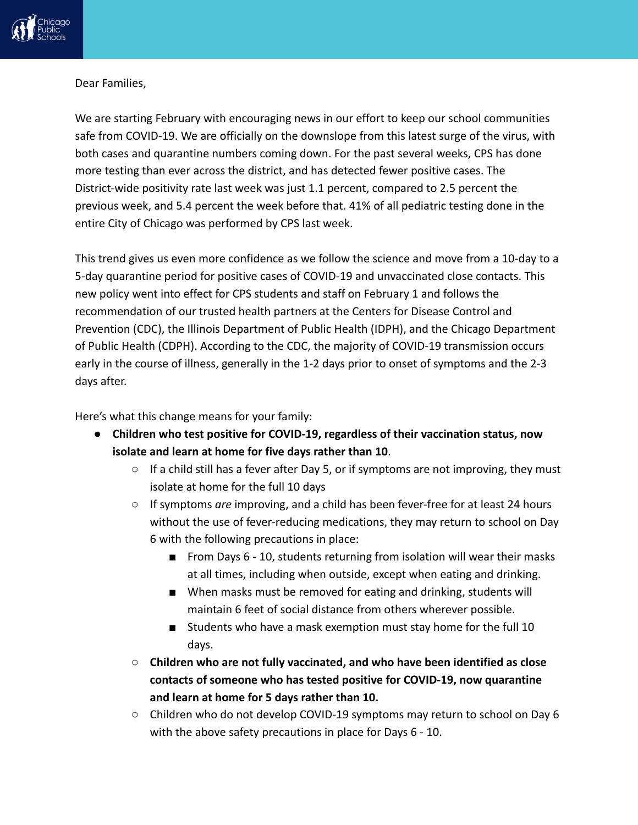

## Dear Families,

We are starting February with encouraging news in our effort to keep our school communities safe from COVID-19. We are officially on the downslope from this latest surge of the virus, with both cases and quarantine numbers coming down. For the past several weeks, CPS has done more testing than ever across the district, and has detected fewer positive cases. The District-wide positivity rate last week was just 1.1 percent, compared to 2.5 percent the previous week, and 5.4 percent the week before that. 41% of all pediatric testing done in the entire City of Chicago was performed by CPS last week.

This trend gives us even more confidence as we follow the science and move from a 10-day to a 5-day quarantine period for positive cases of COVID-19 and unvaccinated close contacts. This new policy went into effect for CPS students and staff on February 1 and follows the recommendation of our trusted health partners at the Centers for Disease Control and Prevention (CDC), the Illinois Department of Public Health (IDPH), and the Chicago Department of Public Health (CDPH). According to the CDC, the majority of COVID-19 transmission occurs early in the course of illness, generally in the 1-2 days prior to onset of symptoms and the 2-3 days after.

Here's what this change means for your family:

- **Children who test positive for COVID-19, regardless of their vaccination status, now isolate and learn at home for five days rather than 10**.
	- If a child still has a fever after Day 5, or if symptoms are not improving, they must isolate at home for the full 10 days
	- If symptoms *are* improving, and a child has been fever-free for at least 24 hours without the use of fever-reducing medications, they may return to school on Day 6 with the following precautions in place:
		- From Days 6 10, students returning from isolation will wear their masks at all times, including when outside, except when eating and drinking.
		- When masks must be removed for eating and drinking, students will maintain 6 feet of social distance from others wherever possible.
		- Students who have a mask exemption must stay home for the full 10 days.
	- **Children who are not fully vaccinated, and who have been identified as close contacts of someone who has tested positive for COVID-19, now quarantine and learn at home for 5 days rather than 10.**
	- Children who do not develop COVID-19 symptoms may return to school on Day 6 with the above safety precautions in place for Days 6 - 10.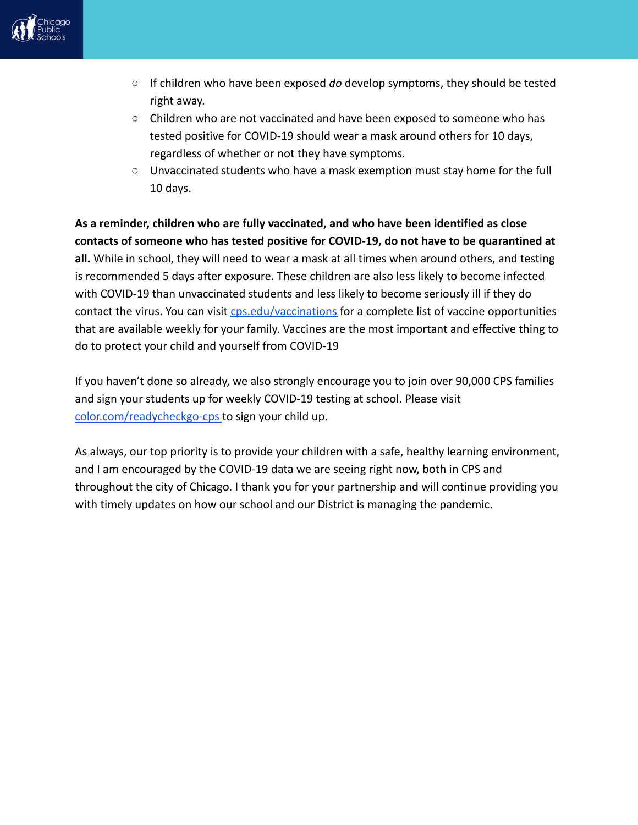

- If children who have been exposed *do* develop symptoms, they should be tested right away.
- Children who are not vaccinated and have been exposed to someone who has tested positive for COVID-19 should wear a mask around others for 10 days, regardless of whether or not they have symptoms.
- Unvaccinated students who have a mask exemption must stay home for the full 10 days.

**As a reminder, children who are fully vaccinated, and who have been identified as close contacts of someone who has tested positive for COVID-19, do not have to be quarantined at all.** While in school, they will need to wear a mask at all times when around others, and testing is recommended 5 days after exposure. These children are also less likely to become infected with COVID-19 than unvaccinated students and less likely to become seriously ill if they do contact the virus. You can visit [cps.edu/vaccinations](http://www.cps.eduvaccinations) for a complete list of vaccine opportunities that are available weekly for your family. Vaccines are the most important and effective thing to do to protect your child and yourself from COVID-19

If you haven't done so already, we also strongly encourage you to join over 90,000 CPS families and sign your students up for weekly COVID-19 testing at school. Please visit [color.com/readycheckgo-cps](http://color.com/readycheckgo-cps) to sign your child up.

As always, our top priority is to provide your children with a safe, healthy learning environment, and I am encouraged by the COVID-19 data we are seeing right now, both in CPS and throughout the city of Chicago. I thank you for your partnership and will continue providing you with timely updates on how our school and our District is managing the pandemic.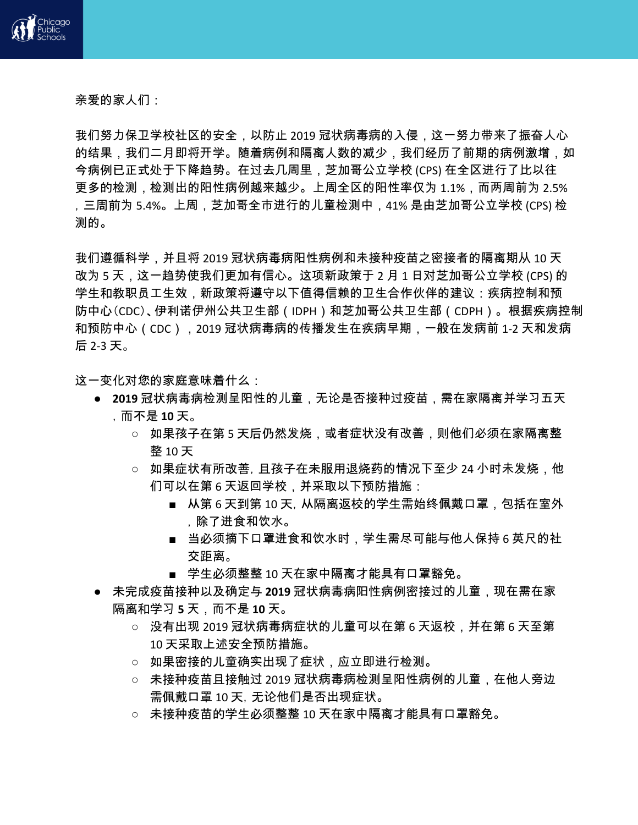

亲爱的家人们:

我们努力保卫学校社区的安全,以防止 2019 冠状病毒病的入侵,这一努力带来了振奋人心 的结果,我们二月即将开学。随着病例和隔离人数的减少,我们经历了前期的病例激增,如 今病例已正式处于下降趋势。在过去几周里,芝加哥公立学校 (CPS) 在全区进行了比以往 更多的检测,检测出的阳性病例越来越少。上周全区的阳性率仅为 1.1%,而两周前为 2.5% ,三周前为 5.4%。上周,芝加哥全市进行的儿童检测中,41% 是由芝加哥公立学校 (CPS) 检 测的。

我们遵循科学,并且将 2019 冠状病毒病阳性病例和未接种疫苗之密接者的隔离期从 10 天 改为 5 天,这一趋势使我们更加有信心。这项新政策于 2 月 1 日对芝加哥公立学校 (CPS) 的 学生和教职员工生效,新政策将遵守以下值得信赖的卫生合作伙伴的建议:疾病控制和预 防中心(CDC)、伊利诺伊州公共卫生部(IDPH)和芝加哥公共卫生部(CDPH)。根据疾病控制 和预防中心(CDC),2019 冠状病毒病的传播发生在疾病早期,一般在发病前 1-2 天和发病 后 2-3 天。

这一变化对您的家庭意味着什么:

- 2019 冠状病毒病检测呈阳性的儿童,无论是否接种过疫苗,需在家隔离并学习五天 ,而不是 **10** 天。
	- 如果孩子在第 5 天后仍然发烧,或者症状没有改善,则他们必须在家隔离整 整 10 天
	- 如果症状有所改善, 且孩子在未服用退烧药的情况下至少 24 小时未发烧,他 们可以在第 6 天返回学校,并采取以下预防措施:
		- 从第 6 天到第 10 天, 从隔离返校的学生需始终佩戴口罩,包括在室外 ,除了进食和饮水。
		- 当必须摘下口罩进食和饮水时,学生需尽可能与他人保持 6 英尺的社 交距离。
		- 学生必须整整 10 天在家中隔离才能具有口罩豁免。
- 未完成疫苗接种以及确定与 **2019** 冠状病毒病阳性病例密接过的儿童,现在需在家 隔离和学习 **5** 天,而不是 **10** 天。
	- 没有出现 2019 冠状病毒病症状的儿童可以在第 6 天返校.并在第 6 天至第 10 天采取上述安全预防措施。
	- 如果密接的儿童确实出现了症状,应立即进行检测。
	- 未接种疫苗且接触过 2019 冠状病毒病检测呈阳性病例的儿童,在他人旁边 需佩戴口罩 10 天,无论他们是否出现症状。
	- 未接种疫苗的学生必须整整 10 天在家中隔离才能具有口罩豁免。